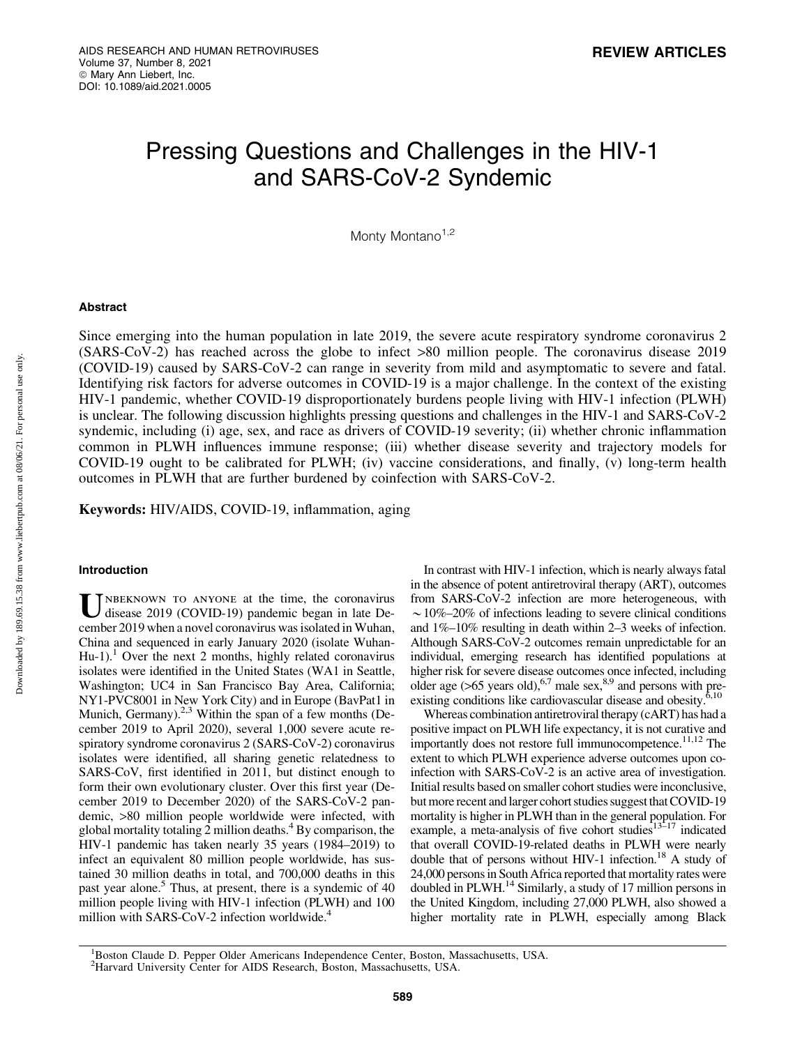# Pressing Questions and Challenges in the HIV-1 and SARS-CoV-2 Syndemic

Monty Montano $1,2$ 

## Abstract

Since emerging into the human population in late 2019, the severe acute respiratory syndrome coronavirus 2 (SARS-CoV-2) has reached across the globe to infect >80 million people. The coronavirus disease 2019 (COVID-19) caused by SARS-CoV-2 can range in severity from mild and asymptomatic to severe and fatal. Identifying risk factors for adverse outcomes in COVID-19 is a major challenge. In the context of the existing HIV-1 pandemic, whether COVID-19 disproportionately burdens people living with HIV-1 infection (PLWH) is unclear. The following discussion highlights pressing questions and challenges in the HIV-1 and SARS-CoV-2 syndemic, including (i) age, sex, and race as drivers of COVID-19 severity; (ii) whether chronic inflammation common in PLWH influences immune response; (iii) whether disease severity and trajectory models for COVID-19 ought to be calibrated for PLWH; (iv) vaccine considerations, and finally, (v) long-term health outcomes in PLWH that are further burdened by coinfection with SARS-CoV-2.

Keywords: HIV/AIDS, COVID-19, inflammation, aging

## Introduction

NBEKNOWN TO ANYONE at the time, the coronavirus disease 2019 (COVID-19) pandemic began in late December 2019 when a novel coronavirus was isolated in Wuhan, China and sequenced in early January 2020 (isolate Wuhan-Hu-1).<sup>1</sup> Over the next 2 months, highly related coronavirus isolates were identified in the United States (WA1 in Seattle, Washington; UC4 in San Francisco Bay Area, California; NY1-PVC8001 in New York City) and in Europe (BavPat1 in Munich, Germany).<sup>2,3</sup> Within the span of a few months (December 2019 to April 2020), several 1,000 severe acute respiratory syndrome coronavirus 2 (SARS-CoV-2) coronavirus isolates were identified, all sharing genetic relatedness to SARS-CoV, first identified in 2011, but distinct enough to form their own evolutionary cluster. Over this first year (December 2019 to December 2020) of the SARS-CoV-2 pandemic, >80 million people worldwide were infected, with global mortality totaling 2 million deaths. $4$  By comparison, the HIV-1 pandemic has taken nearly 35 years (1984–2019) to infect an equivalent 80 million people worldwide, has sustained 30 million deaths in total, and 700,000 deaths in this past year alone.<sup>5</sup> Thus, at present, there is a syndemic of 40 million people living with HIV-1 infection (PLWH) and 100 million with SARS-CoV-2 infection worldwide.<sup>4</sup>

In contrast with HIV-1 infection, which is nearly always fatal in the absence of potent antiretroviral therapy (ART), outcomes from SARS-CoV-2 infection are more heterogeneous, with  $\sim$  10%–20% of infections leading to severe clinical conditions and 1%–10% resulting in death within 2–3 weeks of infection. Although SARS-CoV-2 outcomes remain unpredictable for an individual, emerging research has identified populations at higher risk for severe disease outcomes once infected, including older age (>65 years old),  $6.7$  male sex, $8.9$  and persons with preexisting conditions like cardiovascular disease and obesity.<sup>6</sup>

Whereas combination antiretroviral therapy (cART) has had a positive impact on PLWH life expectancy, it is not curative and importantly does not restore full immunocompetence.<sup>11,12</sup> The extent to which PLWH experience adverse outcomes upon coinfection with SARS-CoV-2 is an active area of investigation. Initial results based on smaller cohort studies were inconclusive, but more recent and larger cohort studies suggest that COVID-19 mortality is higher in PLWH than in the general population. For example, a meta-analysis of five cohort studies<sup>13-17</sup> indicated that overall COVID-19-related deaths in PLWH were nearly double that of persons without HIV-1 infection.<sup>18</sup> A study of 24,000 persons in South Africa reported that mortality rates were doubled in PLWH.14 Similarly, a study of 17 million persons in the United Kingdom, including 27,000 PLWH, also showed a higher mortality rate in PLWH, especially among Black

Downloaded by 189.69.15.38 from www.liebertpub.com at 08/06/21. For personal use only. Downloaded by 189.69.15.38 from www.liebertpub.com at 08/06/21. For personal use only

<sup>&</sup>lt;sup>1</sup>Boston Claude D. Pepper Older Americans Independence Center, Boston, Massachusetts, USA.

<sup>&</sup>lt;sup>2</sup>Harvard University Center for AIDS Research, Boston, Massachusetts, USA.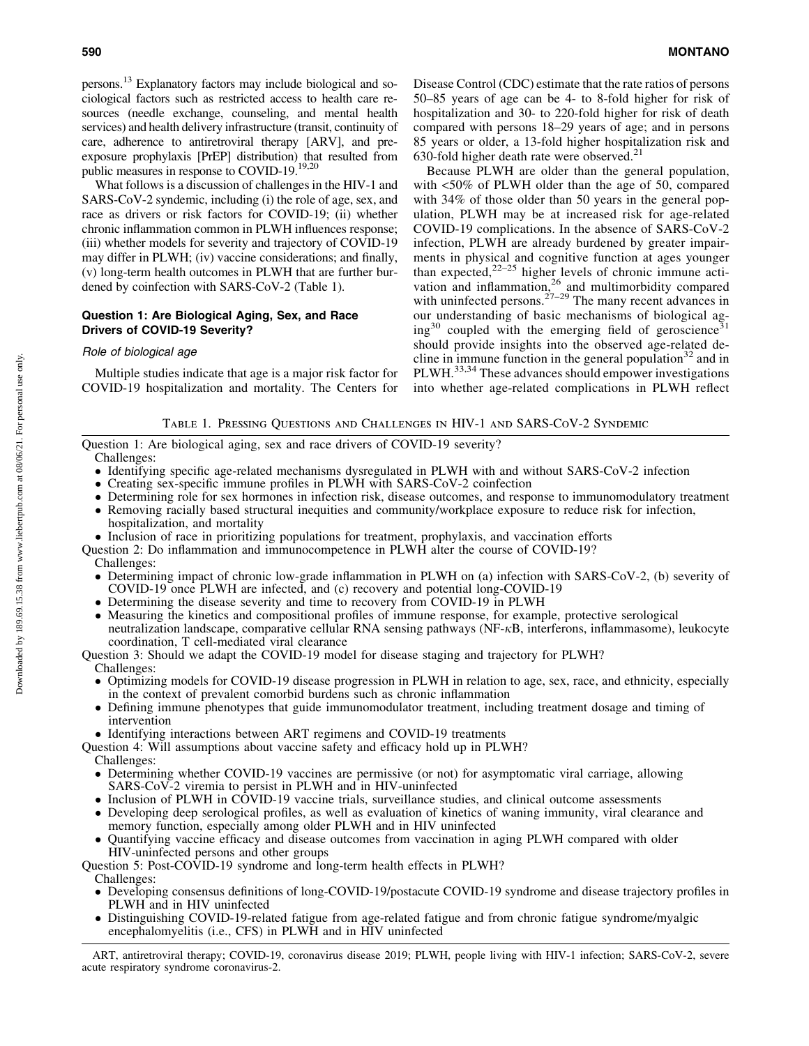persons.13 Explanatory factors may include biological and sociological factors such as restricted access to health care resources (needle exchange, counseling, and mental health services) and health delivery infrastructure (transit, continuity of care, adherence to antiretroviral therapy [ARV], and preexposure prophylaxis [PrEP] distribution) that resulted from public measures in response to COVID-19.<sup>19,20</sup>

What follows is a discussion of challenges in the HIV-1 and SARS-CoV-2 syndemic, including (i) the role of age, sex, and race as drivers or risk factors for COVID-19; (ii) whether chronic inflammation common in PLWH influences response; (iii) whether models for severity and trajectory of COVID-19 may differ in PLWH; (iv) vaccine considerations; and finally, (v) long-term health outcomes in PLWH that are further burdened by coinfection with SARS-CoV-2 (Table 1).

# Question 1: Are Biological Aging, Sex, and Race Drivers of COVID-19 Severity?

## Role of biological age

Multiple studies indicate that age is a major risk factor for COVID-19 hospitalization and mortality. The Centers for Disease Control (CDC) estimate that the rate ratios of persons 50–85 years of age can be 4- to 8-fold higher for risk of hospitalization and 30- to 220-fold higher for risk of death compared with persons 18–29 years of age; and in persons 85 years or older, a 13-fold higher hospitalization risk and 630-fold higher death rate were observed. $^{21}$ 

Because PLWH are older than the general population, with <50% of PLWH older than the age of 50, compared with 34% of those older than 50 years in the general population, PLWH may be at increased risk for age-related COVID-19 complications. In the absence of SARS-CoV-2 infection, PLWH are already burdened by greater impairments in physical and cognitive function at ages younger than expected, $22-25$  higher levels of chronic immune activation and inflammation,<sup>26</sup> and multimorbidity compared with uninfected persons. $27-29$  The many recent advances in with unintected persons.<br>our understanding of basic mechanisms of biological ag $ing^{30}$  coupled with the emerging field of geroscience<sup>3</sup> should provide insights into the observed age-related decline in immune function in the general population<sup>32</sup> and in PLWH.<sup>33,34</sup> These advances should empower investigations into whether age-related complications in PLWH reflect

Table 1. Pressing Questions and Challenges in HIV-1 and SARS-CoV-2 Syndemic

Question 1: Are biological aging, sex and race drivers of COVID-19 severity? Challenges:

- Identifying specific age-related mechanisms dysregulated in PLWH with and without SARS-CoV-2 infection
- Creating sex-specific immune profiles in PLWH with SARS-CoV-2 coinfection
- Determining role for sex hormones in infection risk, disease outcomes, and response to immunomodulatory treatment - Removing racially based structural inequities and community/workplace exposure to reduce risk for infection,
- hospitalization, and mortality
- Inclusion of race in prioritizing populations for treatment, prophylaxis, and vaccination efforts
- Question 2: Do inflammation and immunocompetence in PLWH alter the course of COVID-19?
	- Challenges:
	- Determining impact of chronic low-grade inflammation in PLWH on (a) infection with SARS-CoV-2, (b) severity of COVID-19 once PLWH are infected, and (c) recovery and potential long-COVID-19
	- Determining the disease severity and time to recovery from COVID-19 in PLWH
	- Measuring the kinetics and compositional profiles of immune response, for example, protective serological neutralization landscape, comparative cellular RNA sensing pathways (NF- $\kappa$ B, interferons, inflammasome), leukocyte coordination, T cell-mediated viral clearance

Question 3: Should we adapt the COVID-19 model for disease staging and trajectory for PLWH? Challenges:

- $\bullet$  Optimizing models for COVID-19 disease progression in PLWH in relation to age, sex, race, and ethnicity, especially in the context of prevalent comorbid burdens such as chronic inflammation
- Defining immune phenotypes that guide immunomodulator treatment, including treatment dosage and timing of intervention
- Identifying interactions between ART regimens and COVID-19 treatments
- Question 4: Will assumptions about vaccine safety and efficacy hold up in PLWH?
	- Challenges:
	- Determining whether COVID-19 vaccines are permissive (or not) for asymptomatic viral carriage, allowing SARS-CoV-2 viremia to persist in PLWH and in HIV-uninfected
	- Inclusion of PLWH in COVID-19 vaccine trials, surveillance studies, and clinical outcome assessments
	- Developing deep serological profiles, as well as evaluation of kinetics of waning immunity, viral clearance and memory function, especially among older PLWH and in HIV uninfected
	- Quantifying vaccine efficacy and disease outcomes from vaccination in aging PLWH compared with older HIV-uninfected persons and other groups
- Question 5: Post-COVID-19 syndrome and long-term health effects in PLWH? Challenges:
	- $\bullet$  Developing consensus definitions of long-COVID-19/postacute COVID-19 syndrome and disease trajectory profiles in PLWH and in HIV uninfected
	- Distinguishing COVID-19-related fatigue from age-related fatigue and from chronic fatigue syndrome/myalgic encephalomyelitis (i.e., CFS) in PLWH and in HIV uninfected

ART, antiretroviral therapy; COVID-19, coronavirus disease 2019; PLWH, people living with HIV-1 infection; SARS-CoV-2, severe acute respiratory syndrome coronavirus-2.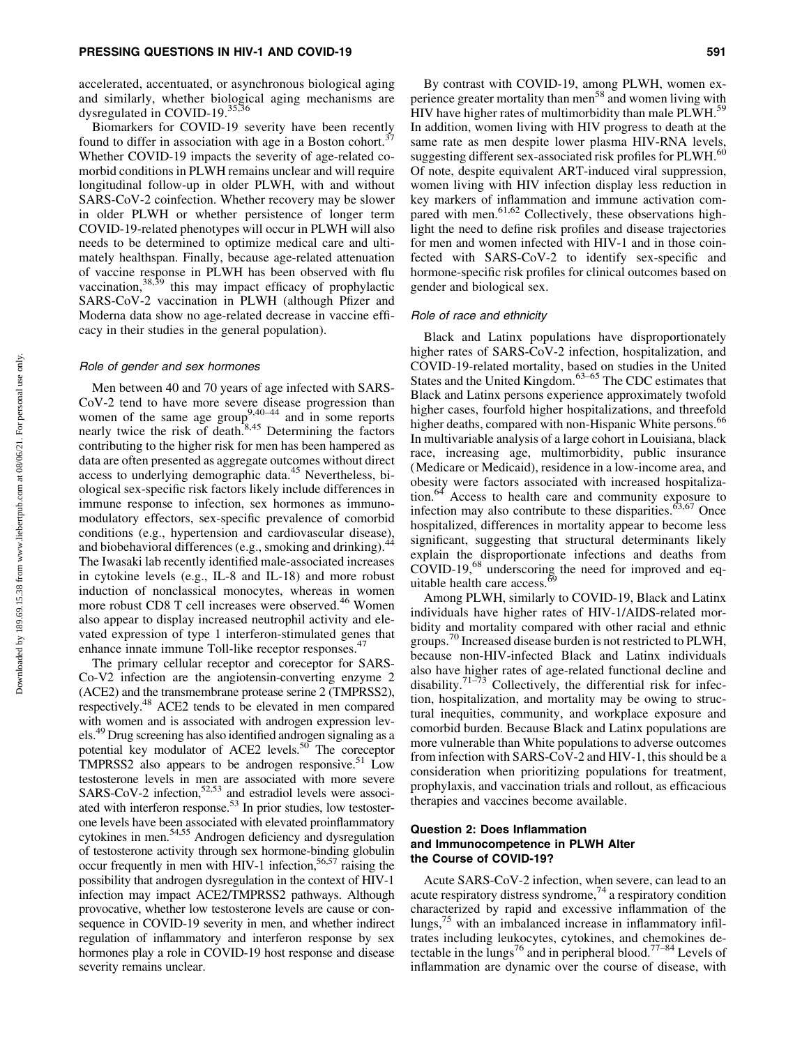accelerated, accentuated, or asynchronous biological aging and similarly, whether biological aging mechanisms are dysregulated in COVID-19.<sup>35,36</sup>

Biomarkers for COVID-19 severity have been recently found to differ in association with age in a Boston cohort.<sup>37</sup> Whether COVID-19 impacts the severity of age-related comorbid conditions in PLWH remains unclear and will require longitudinal follow-up in older PLWH, with and without SARS-CoV-2 coinfection. Whether recovery may be slower in older PLWH or whether persistence of longer term COVID-19-related phenotypes will occur in PLWH will also needs to be determined to optimize medical care and ultimately healthspan. Finally, because age-related attenuation of vaccine response in PLWH has been observed with flu vaccination,<sup>38,39</sup> this may impact efficacy of prophylactic SARS-CoV-2 vaccination in PLWH (although Pfizer and Moderna data show no age-related decrease in vaccine efficacy in their studies in the general population).

#### Role of gender and sex hormones

Men between 40 and 70 years of age infected with SARS-CoV-2 tend to have more severe disease progression than women of the same age group<sup>9,40–44</sup> and in some reports nearly twice the risk of death.<sup>8,45</sup> Determining the factors contributing to the higher risk for men has been hampered as data are often presented as aggregate outcomes without direct access to underlying demographic data.<sup>45</sup> Nevertheless, biological sex-specific risk factors likely include differences in immune response to infection, sex hormones as immunomodulatory effectors, sex-specific prevalence of comorbid conditions (e.g., hypertension and cardiovascular disease), and biobehavioral differences (e.g., smoking and drinking).<sup>44</sup> The Iwasaki lab recently identified male-associated increases in cytokine levels (e.g., IL-8 and IL-18) and more robust induction of nonclassical monocytes, whereas in women more robust CD8 T cell increases were observed.<sup>46</sup> Women also appear to display increased neutrophil activity and elevated expression of type 1 interferon-stimulated genes that enhance innate immune Toll-like receptor responses.<sup>47</sup>

The primary cellular receptor and coreceptor for SARS-Co-V2 infection are the angiotensin-converting enzyme 2 (ACE2) and the transmembrane protease serine 2 (TMPRSS2), respectively.48 ACE2 tends to be elevated in men compared with women and is associated with androgen expression levels.49 Drug screening has also identified androgen signaling as a potential key modulator of ACE2 levels.<sup>50</sup> The coreceptor TMPRSS2 also appears to be androgen responsive.<sup>51</sup> Low testosterone levels in men are associated with more severe SARS-CoV-2 infection,  $52,53$  and estradiol levels were associated with interferon response.<sup>53</sup> In prior studies, low testosterone levels have been associated with elevated proinflammatory cytokines in men.<sup>54,55</sup> Androgen deficiency and dysregulation of testosterone activity through sex hormone-binding globulin occur frequently in men with HIV-1 infection, $56,57$  raising the possibility that androgen dysregulation in the context of HIV-1 infection may impact ACE2/TMPRSS2 pathways. Although provocative, whether low testosterone levels are cause or consequence in COVID-19 severity in men, and whether indirect regulation of inflammatory and interferon response by sex hormones play a role in COVID-19 host response and disease severity remains unclear.

By contrast with COVID-19, among PLWH, women experience greater mortality than men<sup>58</sup> and women living with HIV have higher rates of multimorbidity than male PLWH.<sup>59</sup> In addition, women living with HIV progress to death at the same rate as men despite lower plasma HIV-RNA levels, suggesting different sex-associated risk profiles for  $PLWH$ .<sup>60</sup> Of note, despite equivalent ART-induced viral suppression, women living with HIV infection display less reduction in key markers of inflammation and immune activation compared with men. $61,62$  Collectively, these observations highlight the need to define risk profiles and disease trajectories for men and women infected with HIV-1 and in those coinfected with SARS-CoV-2 to identify sex-specific and hormone-specific risk profiles for clinical outcomes based on gender and biological sex.

#### Role of race and ethnicity

Black and Latinx populations have disproportionately higher rates of SARS-CoV-2 infection, hospitalization, and COVID-19-related mortality, based on studies in the United States and the United Kingdom.<sup>63–65</sup> The CDC estimates that Black and Latinx persons experience approximately twofold higher cases, fourfold higher hospitalizations, and threefold higher deaths, compared with non-Hispanic White persons.<sup>66</sup> In multivariable analysis of a large cohort in Louisiana, black race, increasing age, multimorbidity, public insurance (Medicare or Medicaid), residence in a low-income area, and obesity were factors associated with increased hospitalization.<sup>64</sup> Access to health care and community exposure to infection may also contribute to these disparities.<sup>63,67</sup> Once hospitalized, differences in mortality appear to become less significant, suggesting that structural determinants likely explain the disproportionate infections and deaths from COVID-19,<sup>68</sup> underscoring the need for improved and equitable health care access.<sup>6</sup>

Among PLWH, similarly to COVID-19, Black and Latinx individuals have higher rates of HIV-1/AIDS-related morbidity and mortality compared with other racial and ethnic groups.<sup>70</sup> Increased disease burden is not restricted to PLWH, because non-HIV-infected Black and Latinx individuals also have higher rates of age-related functional decline and disability.<sup>71–73</sup> Collectively, the differential risk for infection, hospitalization, and mortality may be owing to structural inequities, community, and workplace exposure and comorbid burden. Because Black and Latinx populations are more vulnerable than White populations to adverse outcomes from infection with SARS-CoV-2 and HIV-1, this should be a consideration when prioritizing populations for treatment, prophylaxis, and vaccination trials and rollout, as efficacious therapies and vaccines become available.

# Question 2: Does Inflammation and Immunocompetence in PLWH Alter the Course of COVID-19?

Acute SARS-CoV-2 infection, when severe, can lead to an acute respiratory distress syndrome,  $74$  a respiratory condition characterized by rapid and excessive inflammation of the lungs,75 with an imbalanced increase in inflammatory infiltrates including leukocytes, cytokines, and chemokines detectable in the lungs<sup>76</sup> and in peripheral blood.<sup>77-84</sup> Levels of inflammation are dynamic over the course of disease, with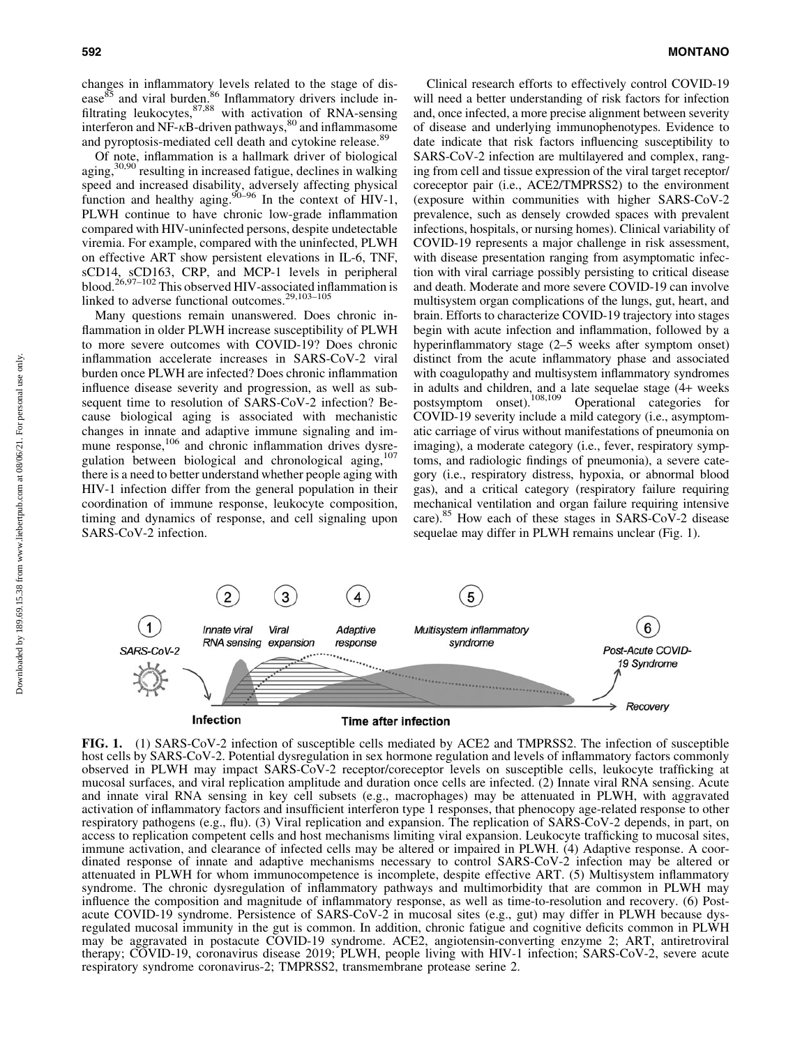changes in inflammatory levels related to the stage of disease<sup>85</sup> and viral burden.<sup>86</sup> Inflammatory drivers include infiltrating leukocytes,<sup>87,88</sup> with activation of RNA-sensing interferon and NF- $\kappa$ B-driven pathways,  $80$  and inflammasome and pyroptosis-mediated cell death and cytokine release.<sup>89</sup>

Of note, inflammation is a hallmark driver of biological aging,30,90 resulting in increased fatigue, declines in walking speed and increased disability, adversely affecting physical function and healthy aging.  $90-96$  In the context of HIV-1, PLWH continue to have chronic low-grade inflammation compared with HIV-uninfected persons, despite undetectable viremia. For example, compared with the uninfected, PLWH on effective ART show persistent elevations in IL-6, TNF, sCD14, sCD163, CRP, and MCP-1 levels in peripheral blood.<sup>26,97–102</sup> This observed HIV-associated inflammation is linked to adverse functional outcomes.<sup>29,103–105</sup>

Many questions remain unanswered. Does chronic inflammation in older PLWH increase susceptibility of PLWH to more severe outcomes with COVID-19? Does chronic inflammation accelerate increases in SARS-CoV-2 viral burden once PLWH are infected? Does chronic inflammation influence disease severity and progression, as well as subsequent time to resolution of SARS-CoV-2 infection? Because biological aging is associated with mechanistic changes in innate and adaptive immune signaling and immune response,<sup>106</sup> and chronic inflammation drives dysregulation between biological and chronological aging,<sup>107</sup> there is a need to better understand whether people aging with HIV-1 infection differ from the general population in their coordination of immune response, leukocyte composition, timing and dynamics of response, and cell signaling upon SARS-CoV-2 infection.

Clinical research efforts to effectively control COVID-19 will need a better understanding of risk factors for infection and, once infected, a more precise alignment between severity of disease and underlying immunophenotypes. Evidence to date indicate that risk factors influencing susceptibility to SARS-CoV-2 infection are multilayered and complex, ranging from cell and tissue expression of the viral target receptor/ coreceptor pair (i.e., ACE2/TMPRSS2) to the environment (exposure within communities with higher SARS-CoV-2 prevalence, such as densely crowded spaces with prevalent infections, hospitals, or nursing homes). Clinical variability of COVID-19 represents a major challenge in risk assessment, with disease presentation ranging from asymptomatic infection with viral carriage possibly persisting to critical disease and death. Moderate and more severe COVID-19 can involve multisystem organ complications of the lungs, gut, heart, and brain. Efforts to characterize COVID-19 trajectory into stages begin with acute infection and inflammation, followed by a hyperinflammatory stage (2–5 weeks after symptom onset) distinct from the acute inflammatory phase and associated with coagulopathy and multisystem inflammatory syndromes in adults and children, and a late sequelae stage (4+ weeks postsymptom onset).108,109 Operational categories for COVID-19 severity include a mild category (i.e., asymptomatic carriage of virus without manifestations of pneumonia on imaging), a moderate category (i.e., fever, respiratory symptoms, and radiologic findings of pneumonia), a severe category (i.e., respiratory distress, hypoxia, or abnormal blood gas), and a critical category (respiratory failure requiring mechanical ventilation and organ failure requiring intensive care).<sup>85</sup> How each of these stages in SARS-CoV-2 disease sequelae may differ in PLWH remains unclear (Fig. 1).



FIG. 1. (1) SARS-CoV-2 infection of susceptible cells mediated by ACE2 and TMPRSS2. The infection of susceptible host cells by SARS-CoV-2. Potential dysregulation in sex hormone regulation and levels of inflammatory factors commonly observed in PLWH may impact SARS-CoV-2 receptor/coreceptor levels on susceptible cells, leukocyte trafficking at mucosal surfaces, and viral replication amplitude and duration once cells are infected. (2) Innate viral RNA sensing. Acute and innate viral RNA sensing in key cell subsets (e.g., macrophages) may be attenuated in PLWH, with aggravated activation of inflammatory factors and insufficient interferon type 1 responses, that phenocopy age-related response to other respiratory pathogens (e.g., flu). (3) Viral replication and expansion. The replication of SARS-CoV-2 depends, in part, on access to replication competent cells and host mechanisms limiting viral expansion. Leukocyte trafficking to mucosal sites, immune activation, and clearance of infected cells may be altered or impaired in PLWH. (4) Adaptive response. A coordinated response of innate and adaptive mechanisms necessary to control SARS-CoV-2 infection may be altered or attenuated in PLWH for whom immunocompetence is incomplete, despite effective ART. (5) Multisystem inflammatory syndrome. The chronic dysregulation of inflammatory pathways and multimorbidity that are common in PLWH may influence the composition and magnitude of inflammatory response, as well as time-to-resolution and recovery. (6) Postacute COVID-19 syndrome. Persistence of SARS-CoV-2 in mucosal sites (e.g., gut) may differ in PLWH because dysregulated mucosal immunity in the gut is common. In addition, chronic fatigue and cognitive deficits common in PLWH may be aggravated in postacute COVID-19 syndrome. ACE2, angiotensin-converting enzyme 2; ART, antiretroviral therapy; COVID-19, coronavirus disease 2019; PLWH, people living with HIV-1 infection; SARS-CoV-2, severe acute respiratory syndrome coronavirus-2; TMPRSS2, transmembrane protease serine 2.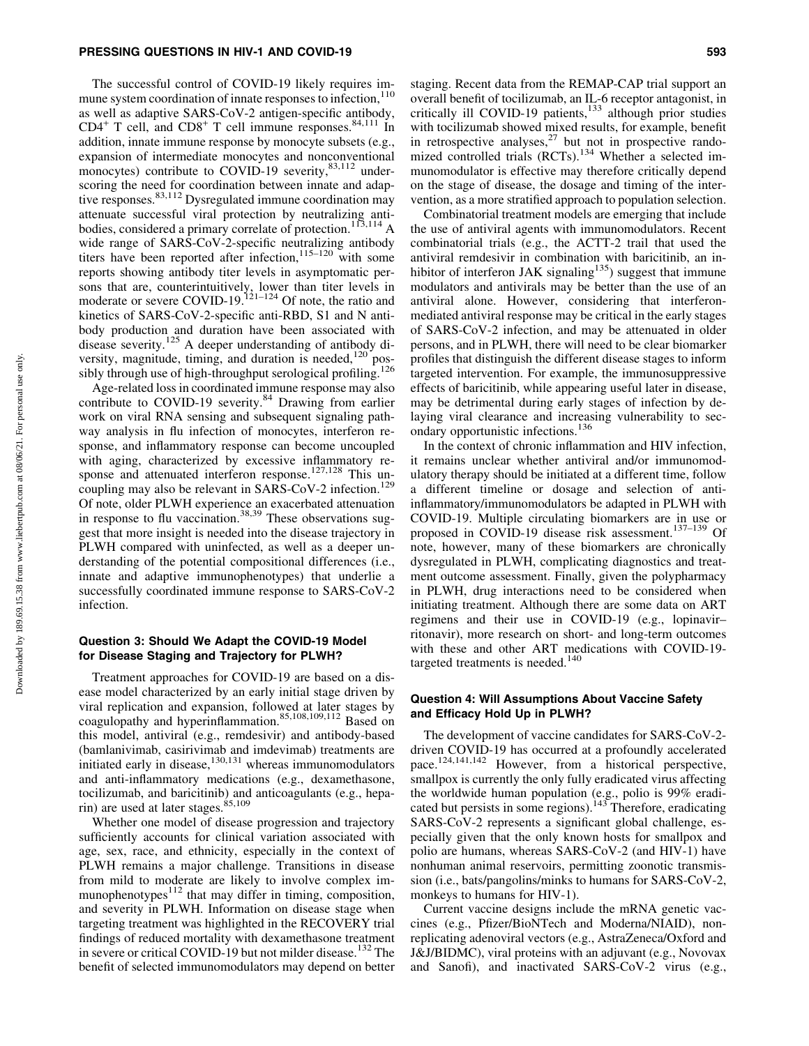The successful control of COVID-19 likely requires immune system coordination of innate responses to infection,  $110$ as well as adaptive SARS-CoV-2 antigen-specific antibody,  $CD4^+$  T cell, and  $CD8^+$  T cell immune responses.  $84,111$  In addition, innate immune response by monocyte subsets (e.g., expansion of intermediate monocytes and nonconventional monocytes) contribute to COVID-19 severity, <sup>83,112</sup> underscoring the need for coordination between innate and adaptive responses.<sup>83,112</sup> Dysregulated immune coordination may attenuate successful viral protection by neutralizing antibodies, considered a primary correlate of protection.<sup>113,114</sup> A wide range of SARS-CoV-2-specific neutralizing antibody titers have been reported after infection,  $115-120$  with some reports showing antibody titer levels in asymptomatic persons that are, counterintuitively, lower than titer levels in moderate or severe COVID-19.<sup>121–124</sup> Of note, the ratio and kinetics of SARS-CoV-2-specific anti-RBD, S1 and N antibody production and duration have been associated with disease severity.<sup>125</sup> A deeper understanding of antibody diversity, magnitude, timing, and duration is needed, $120$  possibly through use of high-throughput serological profiling.<sup>126</sup>

Age-related loss in coordinated immune response may also contribute to COVID-19 severity.<sup>84</sup> Drawing from earlier work on viral RNA sensing and subsequent signaling pathway analysis in flu infection of monocytes, interferon response, and inflammatory response can become uncoupled with aging, characterized by excessive inflammatory response and attenuated interferon response.<sup>127,128</sup> This uncoupling may also be relevant in SARS-CoV-2 infection.<sup>129</sup> Of note, older PLWH experience an exacerbated attenuation in response to flu vaccination.<sup>38,39</sup> These observations suggest that more insight is needed into the disease trajectory in PLWH compared with uninfected, as well as a deeper understanding of the potential compositional differences (i.e., innate and adaptive immunophenotypes) that underlie a successfully coordinated immune response to SARS-CoV-2 infection.

## Question 3: Should We Adapt the COVID-19 Model for Disease Staging and Trajectory for PLWH?

Treatment approaches for COVID-19 are based on a disease model characterized by an early initial stage driven by viral replication and expansion, followed at later stages by coagulopathy and hyperinflammation.<sup>85,108,109,112</sup> Based on this model, antiviral (e.g., remdesivir) and antibody-based (bamlanivimab, casirivimab and imdevimab) treatments are initiated early in disease, $130,131$  whereas immunomodulators and anti-inflammatory medications (e.g., dexamethasone, tocilizumab, and baricitinib) and anticoagulants (e.g., heparin) are used at later stages.  $85,109$ 

Whether one model of disease progression and trajectory sufficiently accounts for clinical variation associated with age, sex, race, and ethnicity, especially in the context of PLWH remains a major challenge. Transitions in disease from mild to moderate are likely to involve complex immunophenotypes $112$  that may differ in timing, composition, and severity in PLWH. Information on disease stage when targeting treatment was highlighted in the RECOVERY trial findings of reduced mortality with dexamethasone treatment in severe or critical COVID-19 but not milder disease.<sup>132</sup> The benefit of selected immunomodulators may depend on better

staging. Recent data from the REMAP-CAP trial support an overall benefit of tocilizumab, an IL-6 receptor antagonist, in critically ill COVID-19 patients, $133$  although prior studies with tocilizumab showed mixed results, for example, benefit in retrospective analyses, $27$  but not in prospective randomized controlled trials (RCTs).<sup>134</sup> Whether a selected immunomodulator is effective may therefore critically depend on the stage of disease, the dosage and timing of the intervention, as a more stratified approach to population selection.

Combinatorial treatment models are emerging that include the use of antiviral agents with immunomodulators. Recent combinatorial trials (e.g., the ACTT-2 trail that used the antiviral remdesivir in combination with baricitinib, an inhibitor of interferon JAK signaling<sup>135</sup>) suggest that immune modulators and antivirals may be better than the use of an antiviral alone. However, considering that interferonmediated antiviral response may be critical in the early stages of SARS-CoV-2 infection, and may be attenuated in older persons, and in PLWH, there will need to be clear biomarker profiles that distinguish the different disease stages to inform targeted intervention. For example, the immunosuppressive effects of baricitinib, while appearing useful later in disease, may be detrimental during early stages of infection by delaying viral clearance and increasing vulnerability to secondary opportunistic infections.<sup>136</sup>

In the context of chronic inflammation and HIV infection, it remains unclear whether antiviral and/or immunomodulatory therapy should be initiated at a different time, follow a different timeline or dosage and selection of antiinflammatory/immunomodulators be adapted in PLWH with COVID-19. Multiple circulating biomarkers are in use or proposed in COVID-19 disease risk assessment.137–139 Of note, however, many of these biomarkers are chronically dysregulated in PLWH, complicating diagnostics and treatment outcome assessment. Finally, given the polypharmacy in PLWH, drug interactions need to be considered when initiating treatment. Although there are some data on ART regimens and their use in COVID-19 (e.g., lopinavir– ritonavir), more research on short- and long-term outcomes with these and other ART medications with COVID-19 targeted treatments is needed.<sup>140</sup>

## Question 4: Will Assumptions About Vaccine Safety and Efficacy Hold Up in PLWH?

The development of vaccine candidates for SARS-CoV-2 driven COVID-19 has occurred at a profoundly accelerated pace.<sup>124,141,142</sup> However, from a historical perspective, smallpox is currently the only fully eradicated virus affecting the worldwide human population (e.g., polio is 99% eradicated but persists in some regions).<sup>143</sup> Therefore, eradicating SARS-CoV-2 represents a significant global challenge, especially given that the only known hosts for smallpox and polio are humans, whereas SARS-CoV-2 (and HIV-1) have nonhuman animal reservoirs, permitting zoonotic transmission (i.e., bats/pangolins/minks to humans for SARS-CoV-2, monkeys to humans for HIV-1).

Current vaccine designs include the mRNA genetic vaccines (e.g., Pfizer/BioNTech and Moderna/NIAID), nonreplicating adenoviral vectors (e.g., AstraZeneca/Oxford and J&J/BIDMC), viral proteins with an adjuvant (e.g., Novovax and Sanofi), and inactivated SARS-CoV-2 virus (e.g.,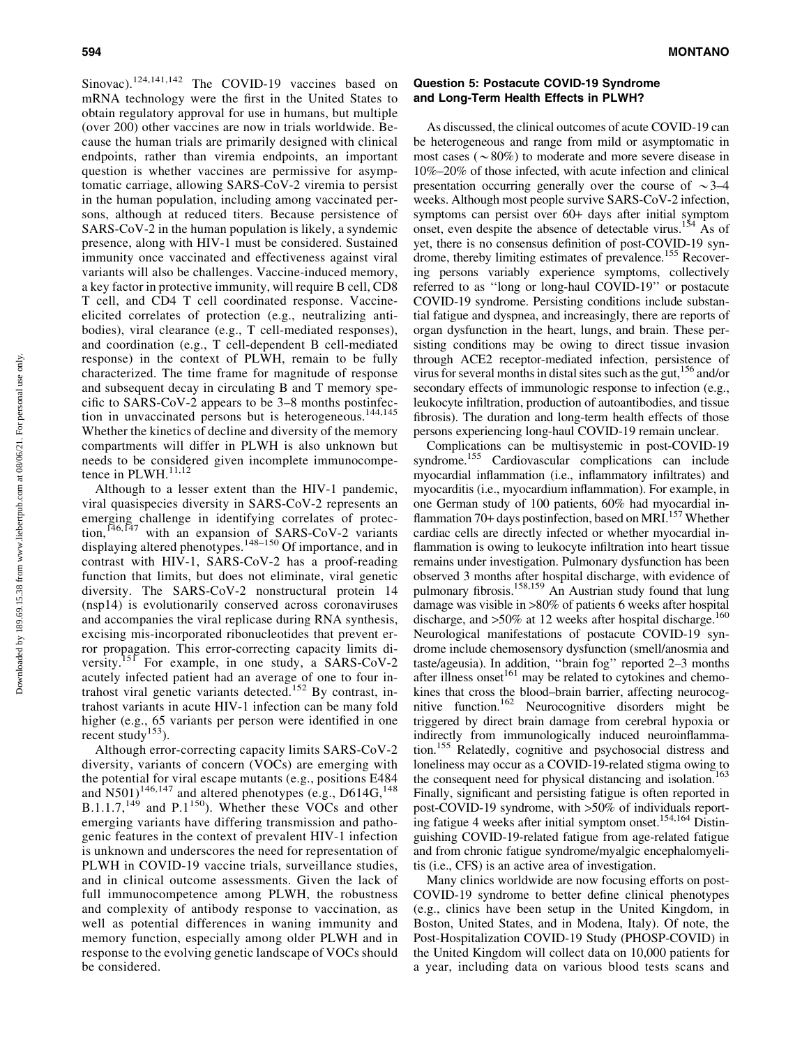Sinovac).<sup>124,141,142</sup> The COVID-19 vaccines based on mRNA technology were the first in the United States to obtain regulatory approval for use in humans, but multiple (over 200) other vaccines are now in trials worldwide. Because the human trials are primarily designed with clinical endpoints, rather than viremia endpoints, an important question is whether vaccines are permissive for asymptomatic carriage, allowing SARS-CoV-2 viremia to persist in the human population, including among vaccinated persons, although at reduced titers. Because persistence of SARS-CoV-2 in the human population is likely, a syndemic presence, along with HIV-1 must be considered. Sustained immunity once vaccinated and effectiveness against viral variants will also be challenges. Vaccine-induced memory, a key factor in protective immunity, will require B cell, CD8 T cell, and CD4 T cell coordinated response. Vaccineelicited correlates of protection (e.g., neutralizing antibodies), viral clearance (e.g., T cell-mediated responses), and coordination (e.g., T cell-dependent B cell-mediated response) in the context of PLWH, remain to be fully characterized. The time frame for magnitude of response and subsequent decay in circulating B and T memory specific to SARS-CoV-2 appears to be 3–8 months postinfection in unvaccinated persons but is heterogeneous.<sup>144,145</sup> Whether the kinetics of decline and diversity of the memory compartments will differ in PLWH is also unknown but needs to be considered given incomplete immunocompetence in PLWH.<sup>11,12</sup>

Although to a lesser extent than the HIV-1 pandemic, viral quasispecies diversity in SARS-CoV-2 represents an emerging challenge in identifying correlates of protection,<sup>146,147</sup> with an expansion of SARS-CoV-2 variants displaying altered phenotypes.<sup>148–150</sup> Of importance, and in contrast with HIV-1, SARS-CoV-2 has a proof-reading function that limits, but does not eliminate, viral genetic diversity. The SARS-CoV-2 nonstructural protein 14 (nsp14) is evolutionarily conserved across coronaviruses and accompanies the viral replicase during RNA synthesis, excising mis-incorporated ribonucleotides that prevent error propagation. This error-correcting capacity limits diversity.<sup>151</sup> For example, in one study, a SARS-CoV-2 acutely infected patient had an average of one to four intrahost viral genetic variants detected.<sup>152</sup> By contrast, intrahost variants in acute HIV-1 infection can be many fold higher (e.g., 65 variants per person were identified in one recent study<sup>153</sup>).

Although error-correcting capacity limits SARS-CoV-2 diversity, variants of concern (VOCs) are emerging with the potential for viral escape mutants (e.g., positions E484 and  $\overline{N501}$ <sup>146,147</sup> and altered phenotypes (e.g., D614G, <sup>148</sup>)  $B.1.1.7$ ,<sup>149</sup> and P.1<sup>150</sup>). Whether these VOCs and other emerging variants have differing transmission and pathogenic features in the context of prevalent HIV-1 infection is unknown and underscores the need for representation of PLWH in COVID-19 vaccine trials, surveillance studies, and in clinical outcome assessments. Given the lack of full immunocompetence among PLWH, the robustness and complexity of antibody response to vaccination, as well as potential differences in waning immunity and memory function, especially among older PLWH and in response to the evolving genetic landscape of VOCs should be considered.

## Question 5: Postacute COVID-19 Syndrome and Long-Term Health Effects in PLWH?

As discussed, the clinical outcomes of acute COVID-19 can be heterogeneous and range from mild or asymptomatic in most cases ( $\sim 80\%$ ) to moderate and more severe disease in 10%–20% of those infected, with acute infection and clinical presentation occurring generally over the course of  $\sim$ 3–4 weeks. Although most people survive SARS-CoV-2 infection, symptoms can persist over 60+ days after initial symptom onset, even despite the absence of detectable virus.<sup>154</sup> As of yet, there is no consensus definition of post-COVID-19 syndrome, thereby limiting estimates of prevalence.<sup>155</sup> Recovering persons variably experience symptoms, collectively referred to as ''long or long-haul COVID-19'' or postacute COVID-19 syndrome. Persisting conditions include substantial fatigue and dyspnea, and increasingly, there are reports of organ dysfunction in the heart, lungs, and brain. These persisting conditions may be owing to direct tissue invasion through ACE2 receptor-mediated infection, persistence of virus for several months in distal sites such as the gut,  $156$  and/or secondary effects of immunologic response to infection (e.g., leukocyte infiltration, production of autoantibodies, and tissue fibrosis). The duration and long-term health effects of those persons experiencing long-haul COVID-19 remain unclear.

Complications can be multisystemic in post-COVID-19 syndrome.155 Cardiovascular complications can include myocardial inflammation (i.e., inflammatory infiltrates) and myocarditis (i.e., myocardium inflammation). For example, in one German study of 100 patients, 60% had myocardial inflammation 70+ days postinfection, based on MRI.<sup>157</sup> Whether cardiac cells are directly infected or whether myocardial inflammation is owing to leukocyte infiltration into heart tissue remains under investigation. Pulmonary dysfunction has been observed 3 months after hospital discharge, with evidence of pulmonary fibrosis.<sup>158,159</sup> An Austrian study found that lung damage was visible in >80% of patients 6 weeks after hospital discharge, and  $>50\%$  at 12 weeks after hospital discharge.<sup>160</sup> Neurological manifestations of postacute COVID-19 syndrome include chemosensory dysfunction (smell/anosmia and taste/ageusia). In addition, ''brain fog'' reported 2–3 months after illness onset $161$  may be related to cytokines and chemokines that cross the blood–brain barrier, affecting neurocognitive function.162 Neurocognitive disorders might be triggered by direct brain damage from cerebral hypoxia or indirectly from immunologically induced neuroinflammation.155 Relatedly, cognitive and psychosocial distress and loneliness may occur as a COVID-19-related stigma owing to the consequent need for physical distancing and isolation.<sup>163</sup> Finally, significant and persisting fatigue is often reported in post-COVID-19 syndrome, with >50% of individuals reporting fatigue 4 weeks after initial symptom onset.<sup>154,164</sup> Distinguishing COVID-19-related fatigue from age-related fatigue and from chronic fatigue syndrome/myalgic encephalomyelitis (i.e., CFS) is an active area of investigation.

Many clinics worldwide are now focusing efforts on post-COVID-19 syndrome to better define clinical phenotypes (e.g., clinics have been setup in the United Kingdom, in Boston, United States, and in Modena, Italy). Of note, the Post-Hospitalization COVID-19 Study (PHOSP-COVID) in the United Kingdom will collect data on 10,000 patients for a year, including data on various blood tests scans and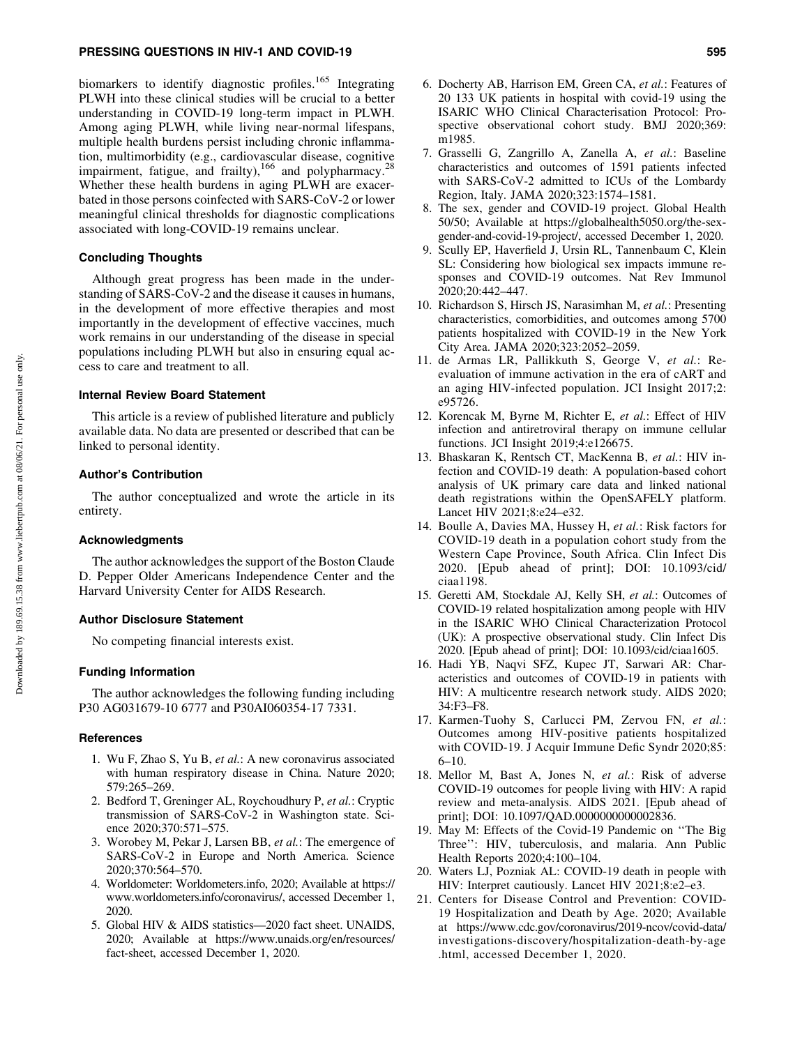biomarkers to identify diagnostic profiles.<sup>165</sup> Integrating PLWH into these clinical studies will be crucial to a better understanding in COVID-19 long-term impact in PLWH. Among aging PLWH, while living near-normal lifespans, multiple health burdens persist including chronic inflammation, multimorbidity (e.g., cardiovascular disease, cognitive impairment, fatigue, and frailty), $166$  and polypharmacy.<sup>28</sup> Whether these health burdens in aging PLWH are exacerbated in those persons coinfected with SARS-CoV-2 or lower meaningful clinical thresholds for diagnostic complications associated with long-COVID-19 remains unclear.

## Concluding Thoughts

Although great progress has been made in the understanding of SARS-CoV-2 and the disease it causes in humans, in the development of more effective therapies and most importantly in the development of effective vaccines, much work remains in our understanding of the disease in special populations including PLWH but also in ensuring equal access to care and treatment to all.

#### Internal Review Board Statement

This article is a review of published literature and publicly available data. No data are presented or described that can be linked to personal identity.

# Author's Contribution

The author conceptualized and wrote the article in its entirety.

#### Acknowledgments

The author acknowledges the support of the Boston Claude D. Pepper Older Americans Independence Center and the Harvard University Center for AIDS Research.

#### Author Disclosure Statement

No competing financial interests exist.

#### Funding Information

The author acknowledges the following funding including P30 AG031679-10 6777 and P30AI060354-17 7331.

#### **References**

- 1. Wu F, Zhao S, Yu B, *et al.*: A new coronavirus associated with human respiratory disease in China. Nature 2020; 579:265–269.
- 2. Bedford T, Greninger AL, Roychoudhury P, *et al.*: Cryptic transmission of SARS-CoV-2 in Washington state. Science 2020;370:571–575.
- 3. Worobey M, Pekar J, Larsen BB, *et al.*: The emergence of SARS-CoV-2 in Europe and North America. Science 2020;370:564–570.
- 4. Worldometer: Worldometers.info, 2020; Available at https:// www.worldometers.info/coronavirus/, accessed December 1, 2020.
- 5. Global HIV & AIDS statistics—2020 fact sheet. UNAIDS, 2020; Available at https://www.unaids.org/en/resources/ fact-sheet, accessed December 1, 2020.
- 6. Docherty AB, Harrison EM, Green CA, *et al.*: Features of 20 133 UK patients in hospital with covid-19 using the ISARIC WHO Clinical Characterisation Protocol: Prospective observational cohort study. BMJ 2020;369: m1985.
- 7. Grasselli G, Zangrillo A, Zanella A, *et al.*: Baseline characteristics and outcomes of 1591 patients infected with SARS-CoV-2 admitted to ICUs of the Lombardy Region, Italy. JAMA 2020;323:1574–1581.
- 8. The sex, gender and COVID-19 project. Global Health 50/50; Available at https://globalhealth5050.org/the-sexgender-and-covid-19-project/, accessed December 1, 2020.
- 9. Scully EP, Haverfield J, Ursin RL, Tannenbaum C, Klein SL: Considering how biological sex impacts immune responses and COVID-19 outcomes. Nat Rev Immunol 2020;20:442–447.
- 10. Richardson S, Hirsch JS, Narasimhan M, *et al.*: Presenting characteristics, comorbidities, and outcomes among 5700 patients hospitalized with COVID-19 in the New York City Area. JAMA 2020;323:2052–2059.
- 11. de Armas LR, Pallikkuth S, George V, *et al.*: Reevaluation of immune activation in the era of cART and an aging HIV-infected population. JCI Insight 2017;2: e95726.
- 12. Korencak M, Byrne M, Richter E, *et al.*: Effect of HIV infection and antiretroviral therapy on immune cellular functions. JCI Insight 2019;4:e126675.
- 13. Bhaskaran K, Rentsch CT, MacKenna B, *et al.*: HIV infection and COVID-19 death: A population-based cohort analysis of UK primary care data and linked national death registrations within the OpenSAFELY platform. Lancet HIV 2021;8:e24–e32.
- 14. Boulle A, Davies MA, Hussey H, *et al.*: Risk factors for COVID-19 death in a population cohort study from the Western Cape Province, South Africa. Clin Infect Dis 2020. [Epub ahead of print]; DOI: 10.1093/cid/ ciaa1198.
- 15. Geretti AM, Stockdale AJ, Kelly SH, *et al.*: Outcomes of COVID-19 related hospitalization among people with HIV in the ISARIC WHO Clinical Characterization Protocol (UK): A prospective observational study. Clin Infect Dis 2020. [Epub ahead of print]; DOI: 10.1093/cid/ciaa1605.
- 16. Hadi YB, Naqvi SFZ, Kupec JT, Sarwari AR: Characteristics and outcomes of COVID-19 in patients with HIV: A multicentre research network study. AIDS 2020; 34:F3–F8.
- 17. Karmen-Tuohy S, Carlucci PM, Zervou FN, *et al.*: Outcomes among HIV-positive patients hospitalized with COVID-19. J Acquir Immune Defic Syndr 2020;85: 6–10.
- 18. Mellor M, Bast A, Jones N, *et al.*: Risk of adverse COVID-19 outcomes for people living with HIV: A rapid review and meta-analysis. AIDS 2021. [Epub ahead of print]; DOI: 10.1097/QAD.0000000000002836.
- 19. May M: Effects of the Covid-19 Pandemic on ''The Big Three'': HIV, tuberculosis, and malaria. Ann Public Health Reports 2020;4:100–104.
- 20. Waters LJ, Pozniak AL: COVID-19 death in people with HIV: Interpret cautiously. Lancet HIV 2021;8:e2–e3.
- 21. Centers for Disease Control and Prevention: COVID-19 Hospitalization and Death by Age. 2020; Available at https://www.cdc.gov/coronavirus/2019-ncov/covid-data/ investigations-discovery/hospitalization-death-by-age .html, accessed December 1, 2020.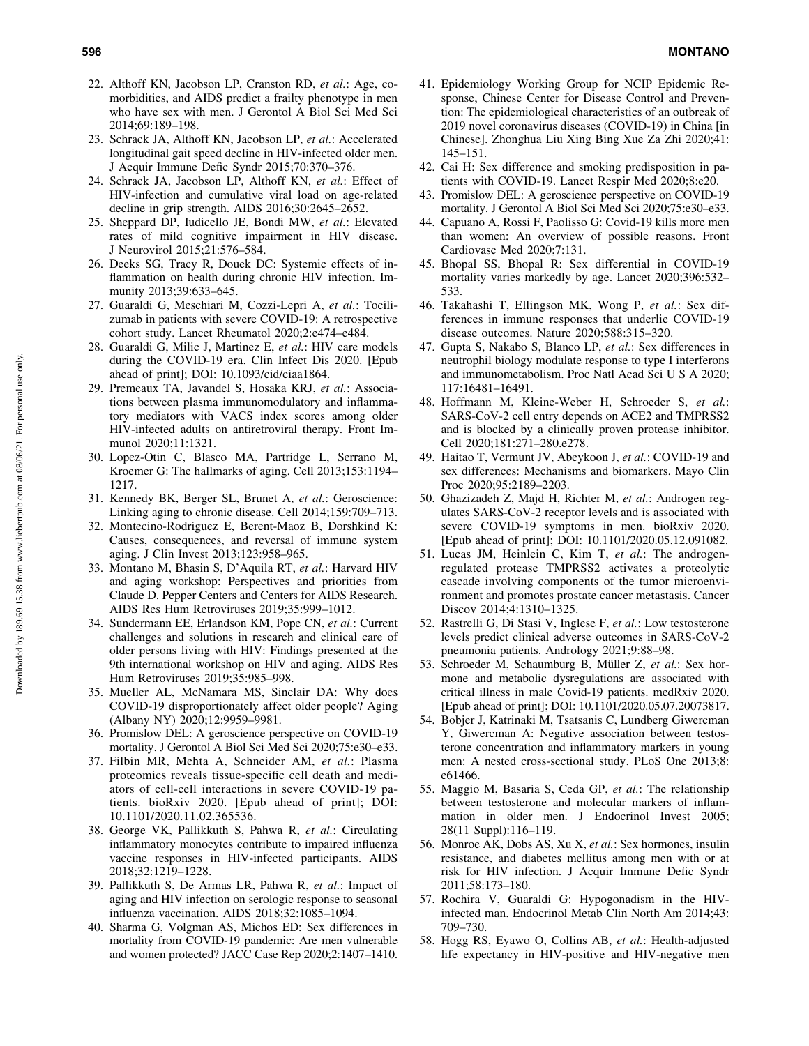- 22. Althoff KN, Jacobson LP, Cranston RD, *et al.*: Age, comorbidities, and AIDS predict a frailty phenotype in men who have sex with men. J Gerontol A Biol Sci Med Sci 2014;69:189–198.
- 23. Schrack JA, Althoff KN, Jacobson LP, *et al.*: Accelerated longitudinal gait speed decline in HIV-infected older men. J Acquir Immune Defic Syndr 2015;70:370–376.
- 24. Schrack JA, Jacobson LP, Althoff KN, *et al.*: Effect of HIV-infection and cumulative viral load on age-related decline in grip strength. AIDS 2016;30:2645–2652.
- 25. Sheppard DP, Iudicello JE, Bondi MW, *et al.*: Elevated rates of mild cognitive impairment in HIV disease. J Neurovirol 2015;21:576–584.
- 26. Deeks SG, Tracy R, Douek DC: Systemic effects of inflammation on health during chronic HIV infection. Immunity 2013;39:633–645.
- 27. Guaraldi G, Meschiari M, Cozzi-Lepri A, *et al.*: Tocilizumab in patients with severe COVID-19: A retrospective cohort study. Lancet Rheumatol 2020;2:e474–e484.
- 28. Guaraldi G, Milic J, Martinez E, *et al.*: HIV care models during the COVID-19 era. Clin Infect Dis 2020. [Epub ahead of print]; DOI: 10.1093/cid/ciaa1864.
- 29. Premeaux TA, Javandel S, Hosaka KRJ, *et al.*: Associations between plasma immunomodulatory and inflammatory mediators with VACS index scores among older HIV-infected adults on antiretroviral therapy. Front Immunol 2020;11:1321.
- 30. Lopez-Otin C, Blasco MA, Partridge L, Serrano M, Kroemer G: The hallmarks of aging. Cell 2013;153:1194– 1217.
- 31. Kennedy BK, Berger SL, Brunet A, *et al.*: Geroscience: Linking aging to chronic disease. Cell 2014;159:709–713.
- 32. Montecino-Rodriguez E, Berent-Maoz B, Dorshkind K: Causes, consequences, and reversal of immune system aging. J Clin Invest 2013;123:958–965.
- 33. Montano M, Bhasin S, D'Aquila RT, *et al.*: Harvard HIV and aging workshop: Perspectives and priorities from Claude D. Pepper Centers and Centers for AIDS Research. AIDS Res Hum Retroviruses 2019;35:999–1012.
- 34. Sundermann EE, Erlandson KM, Pope CN, *et al.*: Current challenges and solutions in research and clinical care of older persons living with HIV: Findings presented at the 9th international workshop on HIV and aging. AIDS Res Hum Retroviruses 2019;35:985–998.
- 35. Mueller AL, McNamara MS, Sinclair DA: Why does COVID-19 disproportionately affect older people? Aging (Albany NY) 2020;12:9959–9981.
- 36. Promislow DEL: A geroscience perspective on COVID-19 mortality. J Gerontol A Biol Sci Med Sci 2020;75:e30–e33.
- 37. Filbin MR, Mehta A, Schneider AM, *et al.*: Plasma proteomics reveals tissue-specific cell death and mediators of cell-cell interactions in severe COVID-19 patients. bioRxiv 2020. [Epub ahead of print]; DOI: 10.1101/2020.11.02.365536.
- 38. George VK, Pallikkuth S, Pahwa R, *et al.*: Circulating inflammatory monocytes contribute to impaired influenza vaccine responses in HIV-infected participants. AIDS 2018;32:1219–1228.
- 39. Pallikkuth S, De Armas LR, Pahwa R, *et al.*: Impact of aging and HIV infection on serologic response to seasonal influenza vaccination. AIDS 2018;32:1085–1094.
- 40. Sharma G, Volgman AS, Michos ED: Sex differences in mortality from COVID-19 pandemic: Are men vulnerable and women protected? JACC Case Rep 2020;2:1407–1410.
- 41. Epidemiology Working Group for NCIP Epidemic Response, Chinese Center for Disease Control and Prevention: The epidemiological characteristics of an outbreak of 2019 novel coronavirus diseases (COVID-19) in China [in Chinese]. Zhonghua Liu Xing Bing Xue Za Zhi 2020;41: 145–151.
- 42. Cai H: Sex difference and smoking predisposition in patients with COVID-19. Lancet Respir Med 2020;8:e20.
- 43. Promislow DEL: A geroscience perspective on COVID-19 mortality. J Gerontol A Biol Sci Med Sci 2020;75:e30–e33.
- 44. Capuano A, Rossi F, Paolisso G: Covid-19 kills more men than women: An overview of possible reasons. Front Cardiovasc Med 2020;7:131.
- 45. Bhopal SS, Bhopal R: Sex differential in COVID-19 mortality varies markedly by age. Lancet 2020;396:532– 533.
- 46. Takahashi T, Ellingson MK, Wong P, *et al.*: Sex differences in immune responses that underlie COVID-19 disease outcomes. Nature 2020;588:315–320.
- 47. Gupta S, Nakabo S, Blanco LP, *et al.*: Sex differences in neutrophil biology modulate response to type I interferons and immunometabolism. Proc Natl Acad Sci U S A 2020; 117:16481–16491.
- 48. Hoffmann M, Kleine-Weber H, Schroeder S, *et al.*: SARS-CoV-2 cell entry depends on ACE2 and TMPRSS2 and is blocked by a clinically proven protease inhibitor. Cell 2020;181:271–280.e278.
- 49. Haitao T, Vermunt JV, Abeykoon J, *et al.*: COVID-19 and sex differences: Mechanisms and biomarkers. Mayo Clin Proc 2020;95:2189–2203.
- 50. Ghazizadeh Z, Majd H, Richter M, *et al.*: Androgen regulates SARS-CoV-2 receptor levels and is associated with severe COVID-19 symptoms in men. bioRxiv 2020. [Epub ahead of print]; DOI: 10.1101/2020.05.12.091082.
- 51. Lucas JM, Heinlein C, Kim T, *et al.*: The androgenregulated protease TMPRSS2 activates a proteolytic cascade involving components of the tumor microenvironment and promotes prostate cancer metastasis. Cancer Discov 2014;4:1310–1325.
- 52. Rastrelli G, Di Stasi V, Inglese F, *et al.*: Low testosterone levels predict clinical adverse outcomes in SARS-CoV-2 pneumonia patients. Andrology 2021;9:88–98.
- 53. Schroeder M, Schaumburg B, Müller Z, et al.: Sex hormone and metabolic dysregulations are associated with critical illness in male Covid-19 patients. medRxiv 2020. [Epub ahead of print]; DOI: 10.1101/2020.05.07.20073817.
- 54. Bobjer J, Katrinaki M, Tsatsanis C, Lundberg Giwercman Y, Giwercman A: Negative association between testosterone concentration and inflammatory markers in young men: A nested cross-sectional study. PLoS One 2013;8: e61466.
- 55. Maggio M, Basaria S, Ceda GP, *et al.*: The relationship between testosterone and molecular markers of inflammation in older men. J Endocrinol Invest 2005; 28(11 Suppl):116–119.
- 56. Monroe AK, Dobs AS, Xu X, *et al.*: Sex hormones, insulin resistance, and diabetes mellitus among men with or at risk for HIV infection. J Acquir Immune Defic Syndr 2011;58:173–180.
- 57. Rochira V, Guaraldi G: Hypogonadism in the HIVinfected man. Endocrinol Metab Clin North Am 2014;43: 709–730.
- 58. Hogg RS, Eyawo O, Collins AB, *et al.*: Health-adjusted life expectancy in HIV-positive and HIV-negative men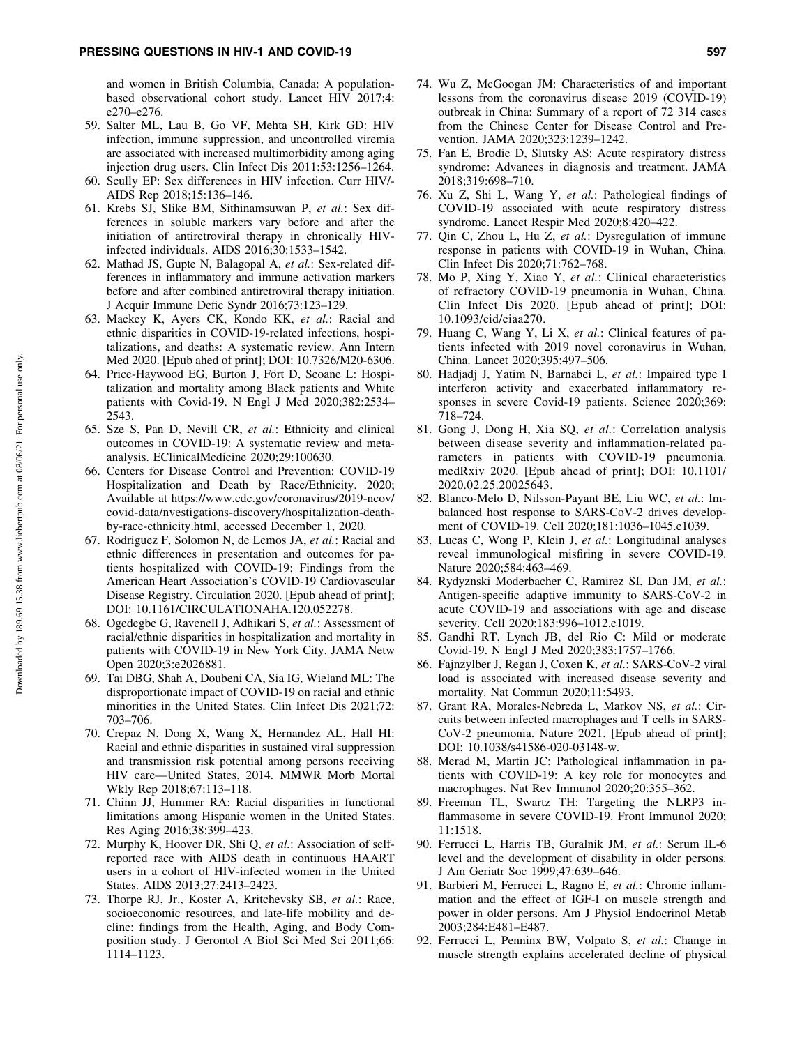and women in British Columbia, Canada: A populationbased observational cohort study. Lancet HIV 2017;4: e270–e276.

- 59. Salter ML, Lau B, Go VF, Mehta SH, Kirk GD: HIV infection, immune suppression, and uncontrolled viremia are associated with increased multimorbidity among aging injection drug users. Clin Infect Dis 2011;53:1256–1264.
- 60. Scully EP: Sex differences in HIV infection. Curr HIV/- AIDS Rep 2018;15:136–146.
- 61. Krebs SJ, Slike BM, Sithinamsuwan P, *et al.*: Sex differences in soluble markers vary before and after the initiation of antiretroviral therapy in chronically HIVinfected individuals. AIDS 2016;30:1533–1542.
- 62. Mathad JS, Gupte N, Balagopal A, *et al.*: Sex-related differences in inflammatory and immune activation markers before and after combined antiretroviral therapy initiation. J Acquir Immune Defic Syndr 2016;73:123–129.
- 63. Mackey K, Ayers CK, Kondo KK, *et al.*: Racial and ethnic disparities in COVID-19-related infections, hospitalizations, and deaths: A systematic review. Ann Intern Med 2020. [Epub ahed of print]; DOI: 10.7326/M20-6306.
- 64. Price-Haywood EG, Burton J, Fort D, Seoane L: Hospitalization and mortality among Black patients and White patients with Covid-19. N Engl J Med 2020;382:2534– 2543.
- 65. Sze S, Pan D, Nevill CR, *et al.*: Ethnicity and clinical outcomes in COVID-19: A systematic review and metaanalysis. EClinicalMedicine 2020;29:100630.
- 66. Centers for Disease Control and Prevention: COVID-19 Hospitalization and Death by Race/Ethnicity. 2020; Available at https://www.cdc.gov/coronavirus/2019-ncov/ covid-data/nvestigations-discovery/hospitalization-deathby-race-ethnicity.html, accessed December 1, 2020.
- 67. Rodriguez F, Solomon N, de Lemos JA, *et al.*: Racial and ethnic differences in presentation and outcomes for patients hospitalized with COVID-19: Findings from the American Heart Association's COVID-19 Cardiovascular Disease Registry. Circulation 2020. [Epub ahead of print]; DOI: 10.1161/CIRCULATIONAHA.120.052278.
- 68. Ogedegbe G, Ravenell J, Adhikari S, *et al.*: Assessment of racial/ethnic disparities in hospitalization and mortality in patients with COVID-19 in New York City. JAMA Netw Open 2020;3:e2026881.
- 69. Tai DBG, Shah A, Doubeni CA, Sia IG, Wieland ML: The disproportionate impact of COVID-19 on racial and ethnic minorities in the United States. Clin Infect Dis 2021;72: 703–706.
- 70. Crepaz N, Dong X, Wang X, Hernandez AL, Hall HI: Racial and ethnic disparities in sustained viral suppression and transmission risk potential among persons receiving HIV care—United States, 2014. MMWR Morb Mortal Wkly Rep 2018;67:113–118.
- 71. Chinn JJ, Hummer RA: Racial disparities in functional limitations among Hispanic women in the United States. Res Aging 2016;38:399–423.
- 72. Murphy K, Hoover DR, Shi Q, *et al.*: Association of selfreported race with AIDS death in continuous HAART users in a cohort of HIV-infected women in the United States. AIDS 2013;27:2413–2423.
- 73. Thorpe RJ, Jr., Koster A, Kritchevsky SB, *et al.*: Race, socioeconomic resources, and late-life mobility and decline: findings from the Health, Aging, and Body Composition study. J Gerontol A Biol Sci Med Sci 2011;66: 1114–1123.
- 74. Wu Z, McGoogan JM: Characteristics of and important lessons from the coronavirus disease 2019 (COVID-19) outbreak in China: Summary of a report of 72 314 cases from the Chinese Center for Disease Control and Prevention. JAMA 2020;323:1239–1242.
- 75. Fan E, Brodie D, Slutsky AS: Acute respiratory distress syndrome: Advances in diagnosis and treatment. JAMA 2018;319:698–710.
- 76. Xu Z, Shi L, Wang Y, *et al.*: Pathological findings of COVID-19 associated with acute respiratory distress syndrome. Lancet Respir Med 2020;8:420–422.
- 77. Qin C, Zhou L, Hu Z, *et al.*: Dysregulation of immune response in patients with COVID-19 in Wuhan, China. Clin Infect Dis 2020;71:762–768.
- 78. Mo P, Xing Y, Xiao Y, *et al.*: Clinical characteristics of refractory COVID-19 pneumonia in Wuhan, China. Clin Infect Dis 2020. [Epub ahead of print]; DOI: 10.1093/cid/ciaa270.
- 79. Huang C, Wang Y, Li X, *et al.*: Clinical features of patients infected with 2019 novel coronavirus in Wuhan, China. Lancet 2020;395:497–506.
- 80. Hadjadj J, Yatim N, Barnabei L, *et al.*: Impaired type I interferon activity and exacerbated inflammatory responses in severe Covid-19 patients. Science 2020;369: 718–724.
- 81. Gong J, Dong H, Xia SQ, *et al.*: Correlation analysis between disease severity and inflammation-related parameters in patients with COVID-19 pneumonia. medRxiv 2020. [Epub ahead of print]; DOI: 10.1101/ 2020.02.25.20025643.
- 82. Blanco-Melo D, Nilsson-Payant BE, Liu WC, *et al.*: Imbalanced host response to SARS-CoV-2 drives development of COVID-19. Cell 2020;181:1036–1045.e1039.
- 83. Lucas C, Wong P, Klein J, *et al.*: Longitudinal analyses reveal immunological misfiring in severe COVID-19. Nature 2020;584:463–469.
- 84. Rydyznski Moderbacher C, Ramirez SI, Dan JM, *et al.*: Antigen-specific adaptive immunity to SARS-CoV-2 in acute COVID-19 and associations with age and disease severity. Cell 2020;183:996–1012.e1019.
- 85. Gandhi RT, Lynch JB, del Rio C: Mild or moderate Covid-19. N Engl J Med 2020;383:1757–1766.
- 86. Fajnzylber J, Regan J, Coxen K, *et al.*: SARS-CoV-2 viral load is associated with increased disease severity and mortality. Nat Commun 2020;11:5493.
- 87. Grant RA, Morales-Nebreda L, Markov NS, *et al.*: Circuits between infected macrophages and T cells in SARS-CoV-2 pneumonia. Nature 2021. [Epub ahead of print]; DOI: 10.1038/s41586-020-03148-w.
- 88. Merad M, Martin JC: Pathological inflammation in patients with COVID-19: A key role for monocytes and macrophages. Nat Rev Immunol 2020;20:355–362.
- 89. Freeman TL, Swartz TH: Targeting the NLRP3 inflammasome in severe COVID-19. Front Immunol 2020; 11:1518.
- 90. Ferrucci L, Harris TB, Guralnik JM, *et al.*: Serum IL-6 level and the development of disability in older persons. J Am Geriatr Soc 1999;47:639–646.
- 91. Barbieri M, Ferrucci L, Ragno E, *et al.*: Chronic inflammation and the effect of IGF-I on muscle strength and power in older persons. Am J Physiol Endocrinol Metab 2003;284:E481–E487.
- 92. Ferrucci L, Penninx BW, Volpato S, *et al.*: Change in muscle strength explains accelerated decline of physical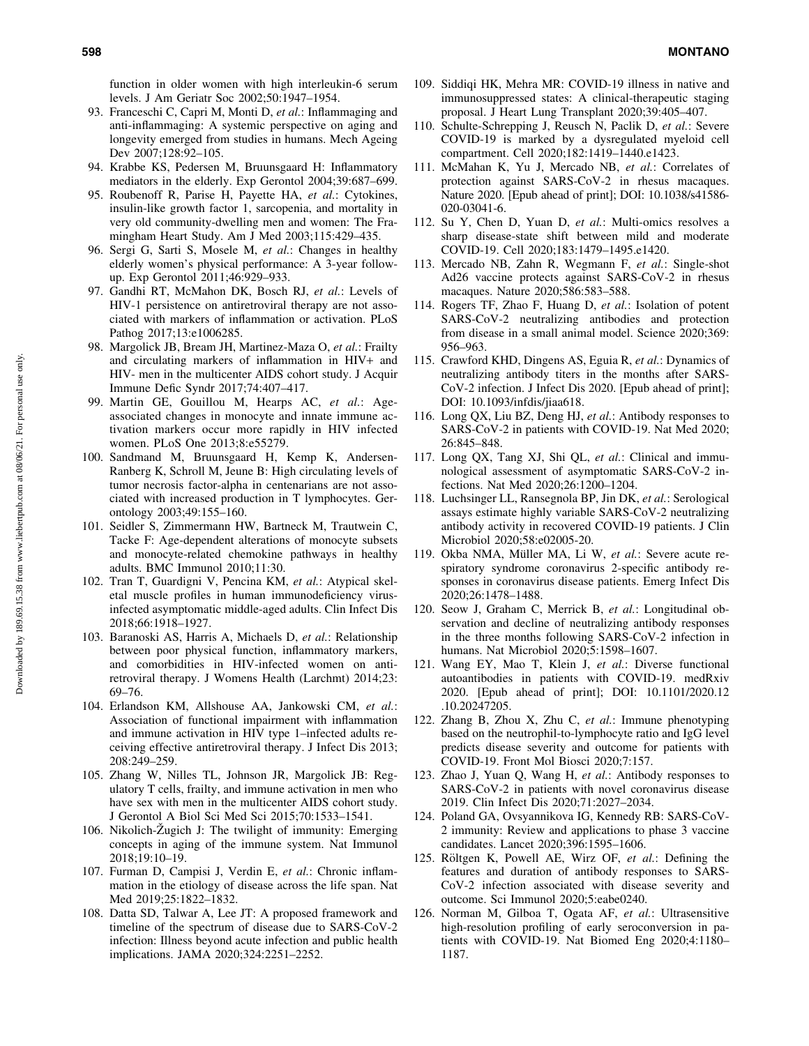function in older women with high interleukin-6 serum levels. J Am Geriatr Soc 2002;50:1947–1954.

- 93. Franceschi C, Capri M, Monti D, *et al.*: Inflammaging and anti-inflammaging: A systemic perspective on aging and longevity emerged from studies in humans. Mech Ageing Dev 2007;128:92–105.
- 94. Krabbe KS, Pedersen M, Bruunsgaard H: Inflammatory mediators in the elderly. Exp Gerontol 2004;39:687–699.
- 95. Roubenoff R, Parise H, Payette HA, *et al.*: Cytokines, insulin-like growth factor 1, sarcopenia, and mortality in very old community-dwelling men and women: The Framingham Heart Study. Am J Med 2003;115:429–435.
- 96. Sergi G, Sarti S, Mosele M, *et al.*: Changes in healthy elderly women's physical performance: A 3-year followup. Exp Gerontol 2011;46:929–933.
- 97. Gandhi RT, McMahon DK, Bosch RJ, *et al.*: Levels of HIV-1 persistence on antiretroviral therapy are not associated with markers of inflammation or activation. PLoS Pathog 2017;13:e1006285.
- 98. Margolick JB, Bream JH, Martinez-Maza O, *et al.*: Frailty and circulating markers of inflammation in HIV+ and HIV- men in the multicenter AIDS cohort study. J Acquir Immune Defic Syndr 2017;74:407–417.
- 99. Martin GE, Gouillou M, Hearps AC, *et al.*: Ageassociated changes in monocyte and innate immune activation markers occur more rapidly in HIV infected women. PLoS One 2013;8:e55279.
- 100. Sandmand M, Bruunsgaard H, Kemp K, Andersen-Ranberg K, Schroll M, Jeune B: High circulating levels of tumor necrosis factor-alpha in centenarians are not associated with increased production in T lymphocytes. Gerontology 2003;49:155–160.
- 101. Seidler S, Zimmermann HW, Bartneck M, Trautwein C, Tacke F: Age-dependent alterations of monocyte subsets and monocyte-related chemokine pathways in healthy adults. BMC Immunol 2010;11:30.
- 102. Tran T, Guardigni V, Pencina KM, *et al.*: Atypical skeletal muscle profiles in human immunodeficiency virusinfected asymptomatic middle-aged adults. Clin Infect Dis 2018;66:1918–1927.
- 103. Baranoski AS, Harris A, Michaels D, *et al.*: Relationship between poor physical function, inflammatory markers, and comorbidities in HIV-infected women on antiretroviral therapy. J Womens Health (Larchmt) 2014;23: 69–76.
- 104. Erlandson KM, Allshouse AA, Jankowski CM, *et al.*: Association of functional impairment with inflammation and immune activation in HIV type 1–infected adults receiving effective antiretroviral therapy. J Infect Dis 2013; 208:249–259.
- 105. Zhang W, Nilles TL, Johnson JR, Margolick JB: Regulatory T cells, frailty, and immune activation in men who have sex with men in the multicenter AIDS cohort study. J Gerontol A Biol Sci Med Sci 2015;70:1533–1541.
- 106. Nikolich- $\angle$  ugich J: The twilight of immunity: Emerging concepts in aging of the immune system. Nat Immunol 2018;19:10–19.
- 107. Furman D, Campisi J, Verdin E, *et al.*: Chronic inflammation in the etiology of disease across the life span. Nat Med 2019;25:1822–1832.
- 108. Datta SD, Talwar A, Lee JT: A proposed framework and timeline of the spectrum of disease due to SARS-CoV-2 infection: Illness beyond acute infection and public health implications. JAMA 2020;324:2251–2252.
- 109. Siddiqi HK, Mehra MR: COVID-19 illness in native and immunosuppressed states: A clinical-therapeutic staging proposal. J Heart Lung Transplant 2020;39:405–407.
- 110. Schulte-Schrepping J, Reusch N, Paclik D, *et al.*: Severe COVID-19 is marked by a dysregulated myeloid cell compartment. Cell 2020;182:1419–1440.e1423.
- 111. McMahan K, Yu J, Mercado NB, *et al.*: Correlates of protection against SARS-CoV-2 in rhesus macaques. Nature 2020. [Epub ahead of print]; DOI: 10.1038/s41586- 020-03041-6.
- 112. Su Y, Chen D, Yuan D, *et al.*: Multi-omics resolves a sharp disease-state shift between mild and moderate COVID-19. Cell 2020;183:1479–1495.e1420.
- 113. Mercado NB, Zahn R, Wegmann F, *et al.*: Single-shot Ad26 vaccine protects against SARS-CoV-2 in rhesus macaques. Nature 2020;586:583–588.
- 114. Rogers TF, Zhao F, Huang D, *et al.*: Isolation of potent SARS-CoV-2 neutralizing antibodies and protection from disease in a small animal model. Science 2020;369: 956–963.
- 115. Crawford KHD, Dingens AS, Eguia R, *et al.*: Dynamics of neutralizing antibody titers in the months after SARS-CoV-2 infection. J Infect Dis 2020. [Epub ahead of print]; DOI: 10.1093/infdis/jiaa618.
- 116. Long QX, Liu BZ, Deng HJ, *et al.*: Antibody responses to SARS-CoV-2 in patients with COVID-19. Nat Med 2020; 26:845–848.
- 117. Long QX, Tang XJ, Shi QL, *et al.*: Clinical and immunological assessment of asymptomatic SARS-CoV-2 infections. Nat Med 2020;26:1200–1204.
- 118. Luchsinger LL, Ransegnola BP, Jin DK, *et al.*: Serological assays estimate highly variable SARS-CoV-2 neutralizing antibody activity in recovered COVID-19 patients. J Clin Microbiol 2020;58:e02005-20.
- 119. Okba NMA, Müller MA, Li W, et al.: Severe acute respiratory syndrome coronavirus 2-specific antibody responses in coronavirus disease patients. Emerg Infect Dis 2020;26:1478–1488.
- 120. Seow J, Graham C, Merrick B, *et al.*: Longitudinal observation and decline of neutralizing antibody responses in the three months following SARS-CoV-2 infection in humans. Nat Microbiol 2020;5:1598–1607.
- 121. Wang EY, Mao T, Klein J, *et al.*: Diverse functional autoantibodies in patients with COVID-19. medRxiv 2020. [Epub ahead of print]; DOI: 10.1101/2020.12 .10.20247205.
- 122. Zhang B, Zhou X, Zhu C, *et al.*: Immune phenotyping based on the neutrophil-to-lymphocyte ratio and IgG level predicts disease severity and outcome for patients with COVID-19. Front Mol Biosci 2020;7:157.
- 123. Zhao J, Yuan Q, Wang H, *et al.*: Antibody responses to SARS-CoV-2 in patients with novel coronavirus disease 2019. Clin Infect Dis 2020;71:2027–2034.
- 124. Poland GA, Ovsyannikova IG, Kennedy RB: SARS-CoV-2 immunity: Review and applications to phase 3 vaccine candidates. Lancet 2020;396:1595–1606.
- 125. Röltgen K, Powell AE, Wirz OF, et al.: Defining the features and duration of antibody responses to SARS-CoV-2 infection associated with disease severity and outcome. Sci Immunol 2020;5:eabe0240.
- 126. Norman M, Gilboa T, Ogata AF, *et al.*: Ultrasensitive high-resolution profiling of early seroconversion in patients with COVID-19. Nat Biomed Eng 2020;4:1180– 1187.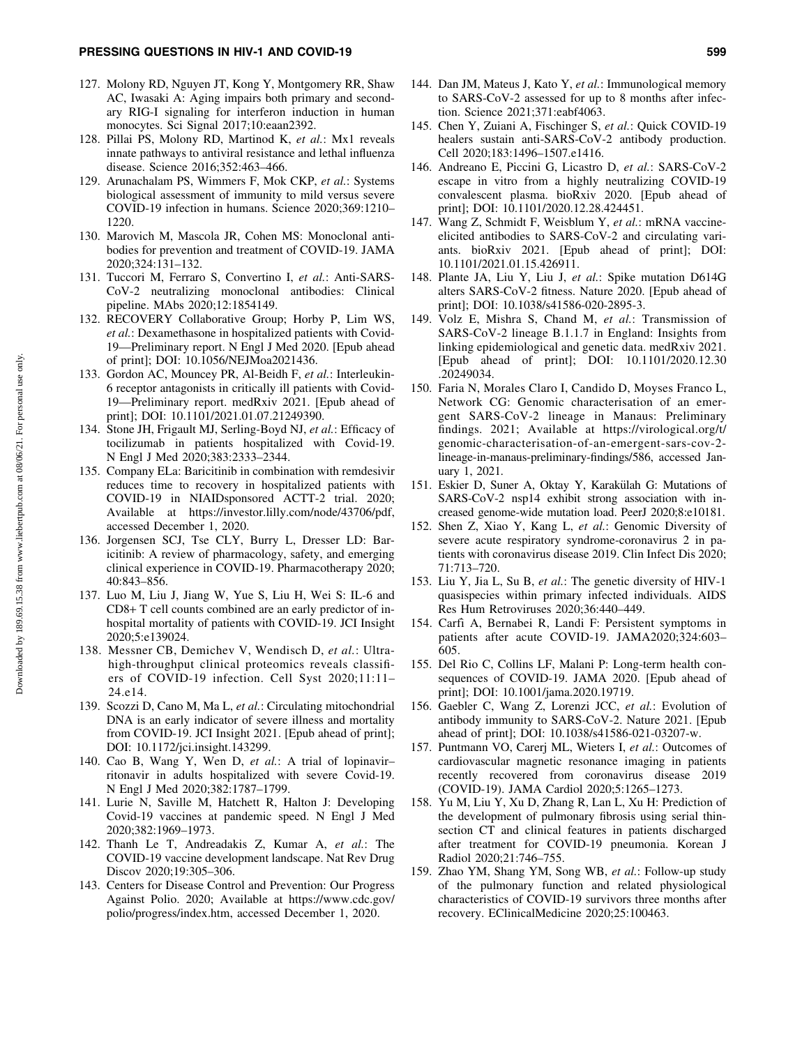- 127. Molony RD, Nguyen JT, Kong Y, Montgomery RR, Shaw AC, Iwasaki A: Aging impairs both primary and secondary RIG-I signaling for interferon induction in human monocytes. Sci Signal 2017;10:eaan2392.
- 128. Pillai PS, Molony RD, Martinod K, *et al.*: Mx1 reveals innate pathways to antiviral resistance and lethal influenza disease. Science 2016;352:463–466.
- 129. Arunachalam PS, Wimmers F, Mok CKP, *et al.*: Systems biological assessment of immunity to mild versus severe COVID-19 infection in humans. Science 2020;369:1210– 1220.
- 130. Marovich M, Mascola JR, Cohen MS: Monoclonal antibodies for prevention and treatment of COVID-19. JAMA 2020;324:131–132.
- 131. Tuccori M, Ferraro S, Convertino I, *et al.*: Anti-SARS-CoV-2 neutralizing monoclonal antibodies: Clinical pipeline. MAbs 2020;12:1854149.
- 132. RECOVERY Collaborative Group; Horby P, Lim WS, *et al.*: Dexamethasone in hospitalized patients with Covid-19—Preliminary report. N Engl J Med 2020. [Epub ahead of print]; DOI: 10.1056/NEJMoa2021436.
- 133. Gordon AC, Mouncey PR, Al-Beidh F, *et al.*: Interleukin-6 receptor antagonists in critically ill patients with Covid-19—Preliminary report. medRxiv 2021. [Epub ahead of print]; DOI: 10.1101/2021.01.07.21249390.
- 134. Stone JH, Frigault MJ, Serling-Boyd NJ, *et al.*: Efficacy of tocilizumab in patients hospitalized with Covid-19. N Engl J Med 2020;383:2333–2344.
- 135. Company ELa: Baricitinib in combination with remdesivir reduces time to recovery in hospitalized patients with COVID-19 in NIAIDsponsored ACTT-2 trial. 2020; Available at https://investor.lilly.com/node/43706/pdf, accessed December 1, 2020.
- 136. Jorgensen SCJ, Tse CLY, Burry L, Dresser LD: Baricitinib: A review of pharmacology, safety, and emerging clinical experience in COVID-19. Pharmacotherapy 2020; 40:843–856.
- 137. Luo M, Liu J, Jiang W, Yue S, Liu H, Wei S: IL-6 and CD8+ T cell counts combined are an early predictor of inhospital mortality of patients with COVID-19. JCI Insight 2020;5:e139024.
- 138. Messner CB, Demichev V, Wendisch D, *et al.*: Ultrahigh-throughput clinical proteomics reveals classifiers of COVID-19 infection. Cell Syst 2020;11:11– 24.e14.
- 139. Scozzi D, Cano M, Ma L, *et al.*: Circulating mitochondrial DNA is an early indicator of severe illness and mortality from COVID-19. JCI Insight 2021. [Epub ahead of print]; DOI: 10.1172/jci.insight.143299.
- 140. Cao B, Wang Y, Wen D, *et al.*: A trial of lopinavir– ritonavir in adults hospitalized with severe Covid-19. N Engl J Med 2020;382:1787–1799.
- 141. Lurie N, Saville M, Hatchett R, Halton J: Developing Covid-19 vaccines at pandemic speed. N Engl J Med 2020;382:1969–1973.
- 142. Thanh Le T, Andreadakis Z, Kumar A, *et al.*: The COVID-19 vaccine development landscape. Nat Rev Drug Discov 2020;19:305–306.
- 143. Centers for Disease Control and Prevention: Our Progress Against Polio. 2020; Available at https://www.cdc.gov/ polio/progress/index.htm, accessed December 1, 2020.
- 144. Dan JM, Mateus J, Kato Y, *et al.*: Immunological memory to SARS-CoV-2 assessed for up to 8 months after infection. Science 2021;371:eabf4063.
- 145. Chen Y, Zuiani A, Fischinger S, *et al.*: Quick COVID-19 healers sustain anti-SARS-CoV-2 antibody production. Cell 2020;183:1496–1507.e1416.
- 146. Andreano E, Piccini G, Licastro D, *et al.*: SARS-CoV-2 escape in vitro from a highly neutralizing COVID-19 convalescent plasma. bioRxiv 2020. [Epub ahead of print]; DOI: 10.1101/2020.12.28.424451.
- 147. Wang Z, Schmidt F, Weisblum Y, *et al.*: mRNA vaccineelicited antibodies to SARS-CoV-2 and circulating variants. bioRxiv 2021. [Epub ahead of print]; DOI: 10.1101/2021.01.15.426911.
- 148. Plante JA, Liu Y, Liu J, *et al.*: Spike mutation D614G alters SARS-CoV-2 fitness. Nature 2020. [Epub ahead of print]; DOI: 10.1038/s41586-020-2895-3.
- 149. Volz E, Mishra S, Chand M, *et al.*: Transmission of SARS-CoV-2 lineage B.1.1.7 in England: Insights from linking epidemiological and genetic data. medRxiv 2021. [Epub ahead of print]; DOI: 10.1101/2020.12.30 .20249034.
- 150. Faria N, Morales Claro I, Candido D, Moyses Franco L, Network CG: Genomic characterisation of an emergent SARS-CoV-2 lineage in Manaus: Preliminary findings. 2021; Available at https://virological.org/t/ genomic-characterisation-of-an-emergent-sars-cov-2 lineage-in-manaus-preliminary-findings/586, accessed January 1, 2021.
- 151. Eskier D, Suner A, Oktay Y, Karakülah G: Mutations of SARS-CoV-2 nsp14 exhibit strong association with increased genome-wide mutation load. PeerJ 2020;8:e10181.
- 152. Shen Z, Xiao Y, Kang L, *et al.*: Genomic Diversity of severe acute respiratory syndrome-coronavirus 2 in patients with coronavirus disease 2019. Clin Infect Dis 2020; 71:713–720.
- 153. Liu Y, Jia L, Su B, *et al.*: The genetic diversity of HIV-1 quasispecies within primary infected individuals. AIDS Res Hum Retroviruses 2020;36:440–449.
- 154. Carfı` A, Bernabei R, Landi F: Persistent symptoms in patients after acute COVID-19. JAMA2020;324:603– 605.
- 155. Del Rio C, Collins LF, Malani P: Long-term health consequences of COVID-19. JAMA 2020. [Epub ahead of print]; DOI: 10.1001/jama.2020.19719.
- 156. Gaebler C, Wang Z, Lorenzi JCC, *et al.*: Evolution of antibody immunity to SARS-CoV-2. Nature 2021. [Epub ahead of print]; DOI: 10.1038/s41586-021-03207-w.
- 157. Puntmann VO, Carerj ML, Wieters I, *et al.*: Outcomes of cardiovascular magnetic resonance imaging in patients recently recovered from coronavirus disease 2019 (COVID-19). JAMA Cardiol 2020;5:1265–1273.
- 158. Yu M, Liu Y, Xu D, Zhang R, Lan L, Xu H: Prediction of the development of pulmonary fibrosis using serial thinsection CT and clinical features in patients discharged after treatment for COVID-19 pneumonia. Korean J Radiol 2020;21:746–755.
- 159. Zhao YM, Shang YM, Song WB, *et al.*: Follow-up study of the pulmonary function and related physiological characteristics of COVID-19 survivors three months after recovery. EClinicalMedicine 2020;25:100463.